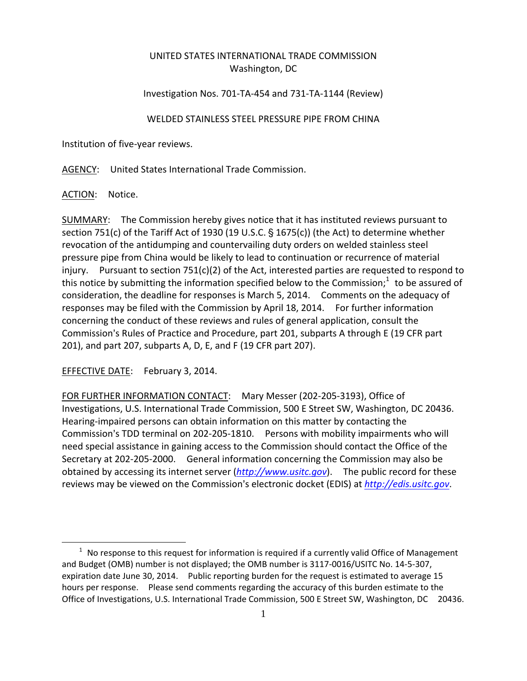## UNITED STATES INTERNATIONAL TRADE COMMISSION Washington, DC

## Investigation Nos. 701‐TA‐454 and 731‐TA‐1144 (Review)

## WELDED STAINLESS STEEL PRESSURE PIPE FROM CHINA

Institution of five‐year reviews.

AGENCY: United States International Trade Commission.

ACTION: Notice.

 $\overline{a}$ 

SUMMARY: The Commission hereby gives notice that it has instituted reviews pursuant to section 751(c) of the Tariff Act of 1930 (19 U.S.C.  $\S$  1675(c)) (the Act) to determine whether revocation of the antidumping and countervailing duty orders on welded stainless steel pressure pipe from China would be likely to lead to continuation or recurrence of material injury. Pursuant to section  $751(c)(2)$  of the Act, interested parties are requested to respond to this notice by submitting the information specified below to the Commission;<sup>1</sup> to be assured of consideration, the deadline for responses is March 5, 2014. Comments on the adequacy of responses may be filed with the Commission by April 18, 2014. For further information concerning the conduct of these reviews and rules of general application, consult the Commission's Rules of Practice and Procedure, part 201, subparts A through E (19 CFR part 201), and part 207, subparts A, D, E, and F (19 CFR part 207).

EFFECTIVE DATE: February 3, 2014.

FOR FURTHER INFORMATION CONTACT: Mary Messer (202‐205‐3193), Office of Investigations, U.S. International Trade Commission, 500 E Street SW, Washington, DC 20436. Hearing‐impaired persons can obtain information on this matter by contacting the Commission's TDD terminal on 202-205-1810. Persons with mobility impairments who will need special assistance in gaining access to the Commission should contact the Office of the Secretary at 202‐205‐2000. General information concerning the Commission may also be obtained by accessing its internet server (*http://www.usitc.gov*). The public record for these reviews may be viewed on the Commission's electronic docket (EDIS) at *http://edis.usitc.gov*.

 $1$  No response to this request for information is required if a currently valid Office of Management and Budget (OMB) number is not displayed; the OMB number is 3117‐0016/USITC No. 14‐5‐307, expiration date June 30, 2014. Public reporting burden for the request is estimated to average 15 hours per response. Please send comments regarding the accuracy of this burden estimate to the Office of Investigations, U.S. International Trade Commission, 500 E Street SW, Washington, DC 20436.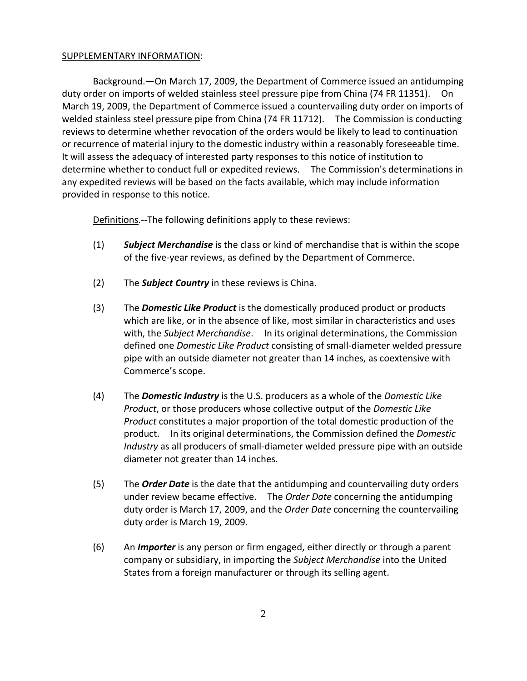## SUPPLEMENTARY INFORMATION:

Background.—On March 17, 2009, the Department of Commerce issued an antidumping duty order on imports of welded stainless steel pressure pipe from China (74 FR 11351). On March 19, 2009, the Department of Commerce issued a countervailing duty order on imports of welded stainless steel pressure pipe from China (74 FR 11712). The Commission is conducting reviews to determine whether revocation of the orders would be likely to lead to continuation or recurrence of material injury to the domestic industry within a reasonably foreseeable time. It will assess the adequacy of interested party responses to this notice of institution to determine whether to conduct full or expedited reviews. The Commission's determinations in any expedited reviews will be based on the facts available, which may include information provided in response to this notice.

Definitions. --The following definitions apply to these reviews:

- (1) *Subject Merchandise* is the class or kind of merchandise that is within the scope of the five‐year reviews, as defined by the Department of Commerce.
- (2) The *Subject Country* in these reviews is China.
- (3) The *Domestic Like Product* is the domestically produced product or products which are like, or in the absence of like, most similar in characteristics and uses with, the *Subject Merchandise*. In its original determinations, the Commission defined one *Domestic Like Product* consisting of small‐diameter welded pressure pipe with an outside diameter not greater than 14 inches, as coextensive with Commerce's scope.
- (4) The *Domestic Industry* is the U.S. producers as a whole of the *Domestic Like Product*, or those producers whose collective output of the *Domestic Like Product* constitutes a major proportion of the total domestic production of the product. In its original determinations, the Commission defined the *Domestic Industry* as all producers of small‐diameter welded pressure pipe with an outside diameter not greater than 14 inches.
- (5) The *Order Date* is the date that the antidumping and countervailing duty orders under review became effective. The *Order Date* concerning the antidumping duty order is March 17, 2009, and the *Order Date* concerning the countervailing duty order is March 19, 2009.
- (6) An *Importer* is any person or firm engaged, either directly or through a parent company or subsidiary, in importing the *Subject Merchandise* into the United States from a foreign manufacturer or through its selling agent.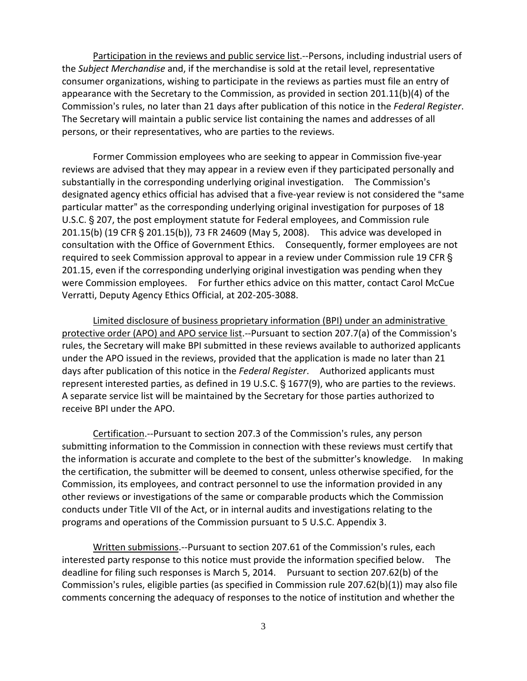Participation in the reviews and public service list. -- Persons, including industrial users of the *Subject Merchandise* and, if the merchandise is sold at the retail level, representative consumer organizations, wishing to participate in the reviews as parties must file an entry of appearance with the Secretary to the Commission, as provided in section 201.11(b)(4) of the Commission's rules, no later than 21 days after publication of this notice in the *Federal Register*. The Secretary will maintain a public service list containing the names and addresses of all persons, or their representatives, who are parties to the reviews.

Former Commission employees who are seeking to appear in Commission five‐year reviews are advised that they may appear in a review even if they participated personally and substantially in the corresponding underlying original investigation. The Commission's designated agency ethics official has advised that a five-year review is not considered the "same particular matter" as the corresponding underlying original investigation for purposes of 18 U.S.C. § 207, the post employment statute for Federal employees, and Commission rule 201.15(b) (19 CFR § 201.15(b)), 73 FR 24609 (May 5, 2008). This advice was developed in consultation with the Office of Government Ethics. Consequently, former employees are not required to seek Commission approval to appear in a review under Commission rule 19 CFR § 201.15, even if the corresponding underlying original investigation was pending when they were Commission employees. For further ethics advice on this matter, contact Carol McCue Verratti, Deputy Agency Ethics Official, at 202‐205‐3088.

Limited disclosure of business proprietary information (BPI) under an administrative protective order (APO) and APO service list.—Pursuant to section 207.7(a) of the Commission's rules, the Secretary will make BPI submitted in these reviews available to authorized applicants under the APO issued in the reviews, provided that the application is made no later than 21 days after publication of this notice in the *Federal Register*. Authorized applicants must represent interested parties, as defined in 19 U.S.C. § 1677(9), who are parties to the reviews. A separate service list will be maintained by the Secretary for those parties authorized to receive BPI under the APO.

Certification. -- Pursuant to section 207.3 of the Commission's rules, any person submitting information to the Commission in connection with these reviews must certify that the information is accurate and complete to the best of the submitter's knowledge. In making the certification, the submitter will be deemed to consent, unless otherwise specified, for the Commission, its employees, and contract personnel to use the information provided in any other reviews or investigations of the same or comparable products which the Commission conducts under Title VII of the Act, or in internal audits and investigations relating to the programs and operations of the Commission pursuant to 5 U.S.C. Appendix 3.

Written submissions. -- Pursuant to section 207.61 of the Commission's rules, each interested party response to this notice must provide the information specified below. The deadline for filing such responses is March 5, 2014. Pursuant to section 207.62(b) of the Commission's rules, eligible parties (as specified in Commission rule  $207.62(b)(1)$ ) may also file comments concerning the adequacy of responses to the notice of institution and whether the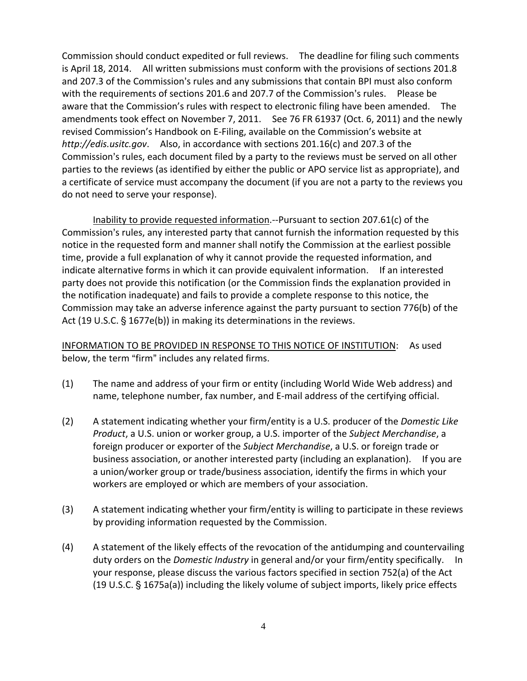Commission should conduct expedited or full reviews. The deadline for filing such comments is April 18, 2014. All written submissions must conform with the provisions of sections 201.8 and 207.3 of the Commission's rules and any submissions that contain BPI must also conform with the requirements of sections 201.6 and 207.7 of the Commission's rules. Please be aware that the Commission's rules with respect to electronic filing have been amended. The amendments took effect on November 7, 2011. See 76 FR 61937 (Oct. 6, 2011) and the newly revised Commission's Handbook on E‐Filing, available on the Commission's website at *http://edis.usitc.gov*. Also, in accordance with sections 201.16(c) and 207.3 of the Commission's rules, each document filed by a party to the reviews must be served on all other parties to the reviews (as identified by either the public or APO service list as appropriate), and a certificate of service must accompany the document (if you are not a party to the reviews you do not need to serve your response).

Inability to provide requested information.‐‐Pursuant to section 207.61(c) of the Commission's rules, any interested party that cannot furnish the information requested by this notice in the requested form and manner shall notify the Commission at the earliest possible time, provide a full explanation of why it cannot provide the requested information, and indicate alternative forms in which it can provide equivalent information. If an interested party does not provide this notification (or the Commission finds the explanation provided in the notification inadequate) and fails to provide a complete response to this notice, the Commission may take an adverse inference against the party pursuant to section 776(b) of the Act (19 U.S.C.  $\S$  1677e(b)) in making its determinations in the reviews.

INFORMATION TO BE PROVIDED IN RESPONSE TO THIS NOTICE OF INSTITUTION: As used below, the term "firm" includes any related firms.

- (1) The name and address of your firm or entity (including World Wide Web address) and name, telephone number, fax number, and E‐mail address of the certifying official.
- (2) A statement indicating whether your firm/entity is a U.S. producer of the *Domestic Like Product*, a U.S. union or worker group, a U.S. importer of the *Subject Merchandise*, a foreign producer or exporter of the *Subject Merchandise*, a U.S. or foreign trade or business association, or another interested party (including an explanation). If you are a union/worker group or trade/business association, identify the firms in which your workers are employed or which are members of your association.
- (3) A statement indicating whether your firm/entity is willing to participate in these reviews by providing information requested by the Commission.
- (4) A statement of the likely effects of the revocation of the antidumping and countervailing duty orders on the *Domestic Industry* in general and/or your firm/entity specifically. In your response, please discuss the various factors specified in section 752(a) of the Act (19 U.S.C.  $\S$  1675a(a)) including the likely volume of subject imports, likely price effects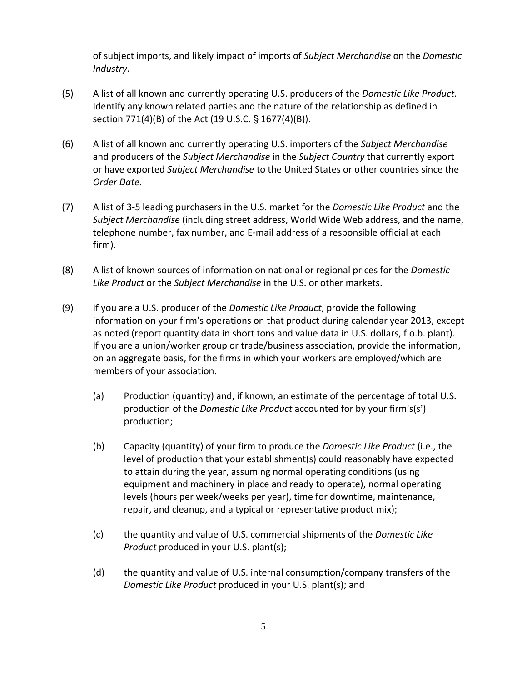of subject imports, and likely impact of imports of *Subject Merchandise* on the *Domestic Industry*.

- (5) A list of all known and currently operating U.S. producers of the *Domestic Like Product*. Identify any known related parties and the nature of the relationship as defined in section 771(4)(B) of the Act (19 U.S.C. § 1677(4)(B)).
- (6) A list of all known and currently operating U.S. importers of the *Subject Merchandise* and producers of the *Subject Merchandise* in the *Subject Country* that currently export or have exported *Subject Merchandise* to the United States or other countries since the *Order Date*.
- (7) A list of 3‐5 leading purchasers in the U.S. market for the *Domestic Like Product* and the *Subject Merchandise* (including street address, World Wide Web address, and the name, telephone number, fax number, and E‐mail address of a responsible official at each firm).
- (8) A list of known sources of information on national or regional prices for the *Domestic Like Product* or the *Subject Merchandise* in the U.S. or other markets.
- (9) If you are a U.S. producer of the *Domestic Like Product*, provide the following information on your firm's operations on that product during calendar year 2013, except as noted (report quantity data in short tons and value data in U.S. dollars, f.o.b. plant). If you are a union/worker group or trade/business association, provide the information, on an aggregate basis, for the firms in which your workers are employed/which are members of your association.
	- (a) Production (quantity) and, if known, an estimate of the percentage of total U.S. production of the *Domestic Like Product* accounted for by your firm's(s') production;
	- (b) Capacity (quantity) of your firm to produce the *Domestic Like Product* (i.e., the level of production that your establishment(s) could reasonably have expected to attain during the year, assuming normal operating conditions (using equipment and machinery in place and ready to operate), normal operating levels (hours per week/weeks per year), time for downtime, maintenance, repair, and cleanup, and a typical or representative product mix);
	- (c) the quantity and value of U.S. commercial shipments of the *Domestic Like Product* produced in your U.S. plant(s);
	- (d) the quantity and value of U.S. internal consumption/company transfers of the *Domestic Like Product* produced in your U.S. plant(s); and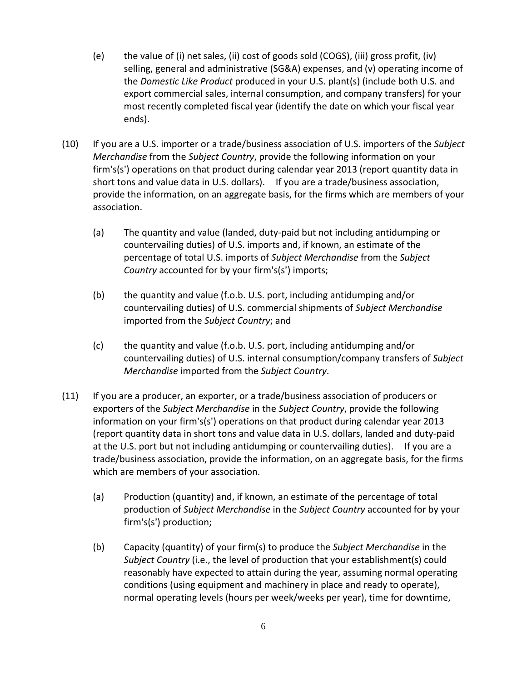- (e) the value of (i) net sales, (ii) cost of goods sold (COGS), (iii) gross profit, (iv) selling, general and administrative (SG&A) expenses, and (v) operating income of the *Domestic Like Product* produced in your U.S. plant(s) (include both U.S. and export commercial sales, internal consumption, and company transfers) for your most recently completed fiscal year (identify the date on which your fiscal year ends).
- (10) If you are a U.S. importer or a trade/business association of U.S. importers of the *Subject Merchandise* from the *Subject Country*, provide the following information on your firm's(s') operations on that product during calendar year 2013 (report quantity data in short tons and value data in U.S. dollars). If you are a trade/business association, provide the information, on an aggregate basis, for the firms which are members of your association.
	- (a) The quantity and value (landed, duty‐paid but not including antidumping or countervailing duties) of U.S. imports and, if known, an estimate of the percentage of total U.S. imports of *Subject Merchandise* from the *Subject Country* accounted for by your firm's(s') imports;
	- (b) the quantity and value (f.o.b. U.S. port, including antidumping and/or countervailing duties) of U.S. commercial shipments of *Subject Merchandise* imported from the *Subject Country*; and
	- (c) the quantity and value (f.o.b. U.S. port, including antidumping and/or countervailing duties) of U.S. internal consumption/company transfers of *Subject Merchandise* imported from the *Subject Country*.
- (11) If you are a producer, an exporter, or a trade/business association of producers or exporters of the *Subject Merchandise* in the *Subject Country*, provide the following information on your firm's(s') operations on that product during calendar year 2013 (report quantity data in short tons and value data in U.S. dollars, landed and duty‐paid at the U.S. port but not including antidumping or countervailing duties). If you are a trade/business association, provide the information, on an aggregate basis, for the firms which are members of your association.
	- (a) Production (quantity) and, if known, an estimate of the percentage of total production of *Subject Merchandise* in the *Subject Country* accounted for by your  $firm's(s')$  production;
	- (b) Capacity (quantity) of your firm(s) to produce the *Subject Merchandise* in the *Subject Country* (i.e., the level of production that your establishment(s) could reasonably have expected to attain during the year, assuming normal operating conditions (using equipment and machinery in place and ready to operate), normal operating levels (hours per week/weeks per year), time for downtime,